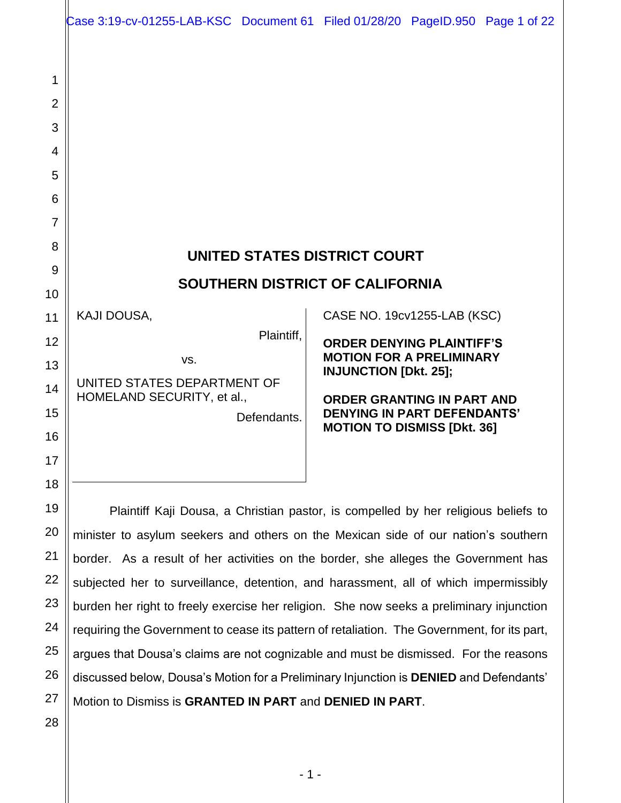|                                                                                                                           | Case 3:19-cv-01255-LAB-KSC Document 61 Filed 01/28/20 PageID.950 Page 1 of 22                                                                                                                                                                                                                                                                                                                                                                 |
|---------------------------------------------------------------------------------------------------------------------------|-----------------------------------------------------------------------------------------------------------------------------------------------------------------------------------------------------------------------------------------------------------------------------------------------------------------------------------------------------------------------------------------------------------------------------------------------|
| 1<br>$\overline{2}$<br>3<br>4<br>5<br>6<br>$\overline{7}$<br>8<br>9<br>10<br>11<br>12<br>13<br>14<br>15<br>16<br>17<br>18 | UNITED STATES DISTRICT COURT<br><b>SOUTHERN DISTRICT OF CALIFORNIA</b><br>KAJI DOUSA,<br>CASE NO. 19cv1255-LAB (KSC)<br>Plaintiff,<br><b>ORDER DENYING PLAINTIFF'S</b><br><b>MOTION FOR A PRELIMINARY</b><br>VS.<br><b>INJUNCTION [Dkt. 25];</b><br>UNITED STATES DEPARTMENT OF<br>HOMELAND SECURITY, et al.,<br><b>ORDER GRANTING IN PART AND</b><br><b>DENYING IN PART DEFENDANTS'</b><br>Defendants.<br><b>MOTION TO DISMISS [Dkt. 36]</b> |
| 19                                                                                                                        | Plaintiff Kaji Dousa, a Christian pastor, is compelled by her religious beliefs to                                                                                                                                                                                                                                                                                                                                                            |
| 20                                                                                                                        | minister to asylum seekers and others on the Mexican side of our nation's southern                                                                                                                                                                                                                                                                                                                                                            |
| 21                                                                                                                        | border. As a result of her activities on the border, she alleges the Government has                                                                                                                                                                                                                                                                                                                                                           |
| 22                                                                                                                        | subjected her to surveillance, detention, and harassment, all of which impermissibly                                                                                                                                                                                                                                                                                                                                                          |
| 23                                                                                                                        | burden her right to freely exercise her religion. She now seeks a preliminary injunction                                                                                                                                                                                                                                                                                                                                                      |

24 25 26 burden her right to freely exercise her religion. She now seeks a preliminary injunction requiring the Government to cease its pattern of retaliation. The Government, for its part, argues that Dousa's claims are not cognizable and must be dismissed. For the reasons discussed below, Dousa's Motion for a Preliminary Injunction is **DENIED** and Defendants'

27 Motion to Dismiss is **GRANTED IN PART** and **DENIED IN PART**.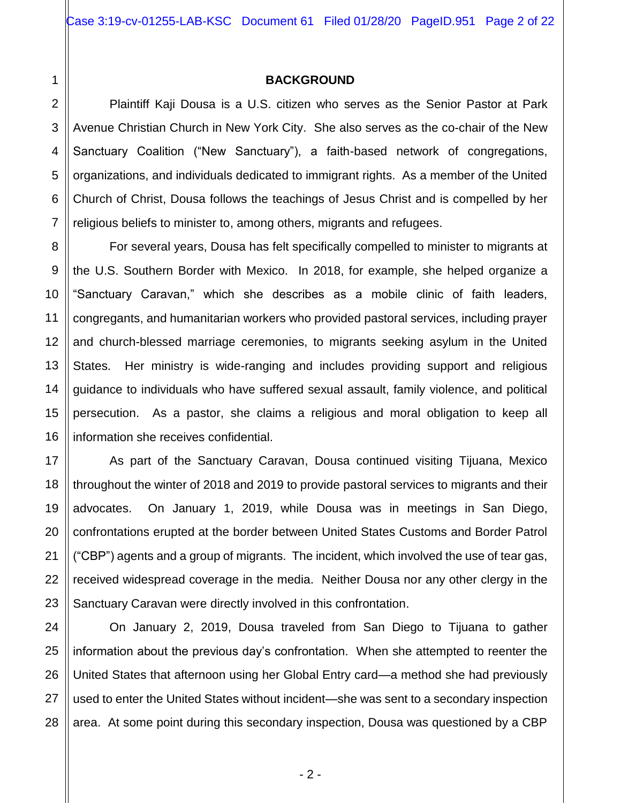## **BACKGROUND**

Plaintiff Kaji Dousa is a U.S. citizen who serves as the Senior Pastor at Park Avenue Christian Church in New York City. She also serves as the co-chair of the New Sanctuary Coalition ("New Sanctuary"), a faith-based network of congregations, organizations, and individuals dedicated to immigrant rights. As a member of the United Church of Christ, Dousa follows the teachings of Jesus Christ and is compelled by her religious beliefs to minister to, among others, migrants and refugees.

For several years, Dousa has felt specifically compelled to minister to migrants at the U.S. Southern Border with Mexico. In 2018, for example, she helped organize a "Sanctuary Caravan," which she describes as a mobile clinic of faith leaders, congregants, and humanitarian workers who provided pastoral services, including prayer and church-blessed marriage ceremonies, to migrants seeking asylum in the United States. Her ministry is wide-ranging and includes providing support and religious guidance to individuals who have suffered sexual assault, family violence, and political persecution. As a pastor, she claims a religious and moral obligation to keep all information she receives confidential.

As part of the Sanctuary Caravan, Dousa continued visiting Tijuana, Mexico throughout the winter of 2018 and 2019 to provide pastoral services to migrants and their advocates. On January 1, 2019, while Dousa was in meetings in San Diego, confrontations erupted at the border between United States Customs and Border Patrol ("CBP") agents and a group of migrants. The incident, which involved the use of tear gas, received widespread coverage in the media. Neither Dousa nor any other clergy in the Sanctuary Caravan were directly involved in this confrontation.

On January 2, 2019, Dousa traveled from San Diego to Tijuana to gather information about the previous day's confrontation. When she attempted to reenter the United States that afternoon using her Global Entry card—a method she had previously used to enter the United States without incident—she was sent to a secondary inspection area. At some point during this secondary inspection, Dousa was questioned by a CBP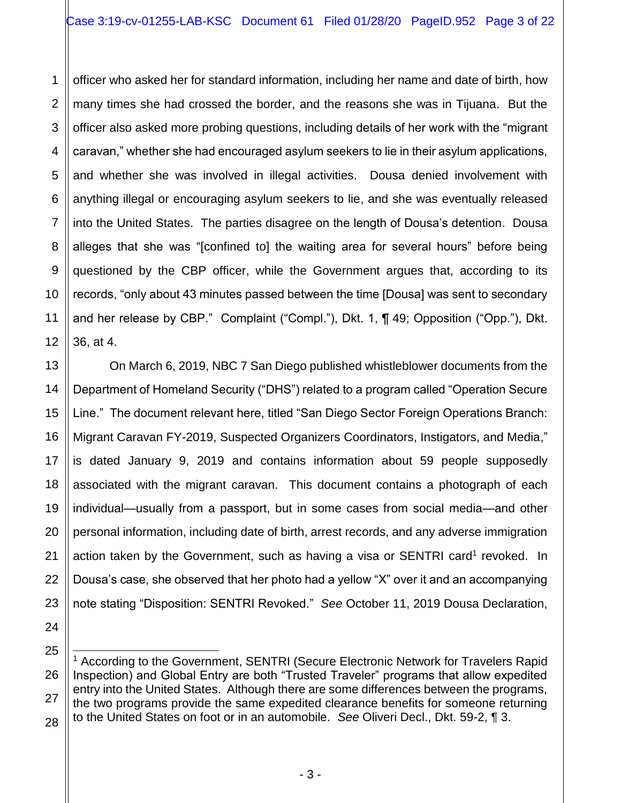1 2 3 4 5 6 7 8 9 10 11 12 officer who asked her for standard information, including her name and date of birth, how many times she had crossed the border, and the reasons she was in Tijuana. But the officer also asked more probing questions, including details of her work with the "migrant caravan," whether she had encouraged asylum seekers to lie in their asylum applications, and whether she was involved in illegal activities. Dousa denied involvement with anything illegal or encouraging asylum seekers to lie, and she was eventually released into the United States. The parties disagree on the length of Dousa's detention. Dousa alleges that she was "[confined to] the waiting area for several hours" before being questioned by the CBP officer, while the Government argues that, according to its records, "only about 43 minutes passed between the time [Dousa] was sent to secondary and her release by CBP." Complaint ("Compl."), Dkt. 1, ¶ 49; Opposition ("Opp."), Dkt. 36, at 4.

13 14 15 16 17 18 19 20 22 23 On March 6, 2019, NBC 7 San Diego published whistleblower documents from the Department of Homeland Security ("DHS") related to a program called "Operation Secure Line." The document relevant here, titled "San Diego Sector Foreign Operations Branch: Migrant Caravan FY-2019, Suspected Organizers Coordinators, Instigators, and Media," is dated January 9, 2019 and contains information about 59 people supposedly associated with the migrant caravan. This document contains a photograph of each individual—usually from a passport, but in some cases from social media—and other personal information, including date of birth, arrest records, and any adverse immigration action taken by the Government, such as having a visa or SENTRI card<sup>1</sup> revoked. In Dousa's case, she observed that her photo had a yellow "X" over it and an accompanying note stating "Disposition: SENTRI Revoked." *See* October 11, 2019 Dousa Declaration,

21

<sup>25</sup> 26 27 28 l <sup>1</sup> According to the Government, SENTRI (Secure Electronic Network for Travelers Rapid Inspection) and Global Entry are both "Trusted Traveler" programs that allow expedited entry into the United States. Although there are some differences between the programs, the two programs provide the same expedited clearance benefits for someone returning to the United States on foot or in an automobile. *See* Oliveri Decl., Dkt. 59-2, ¶ 3.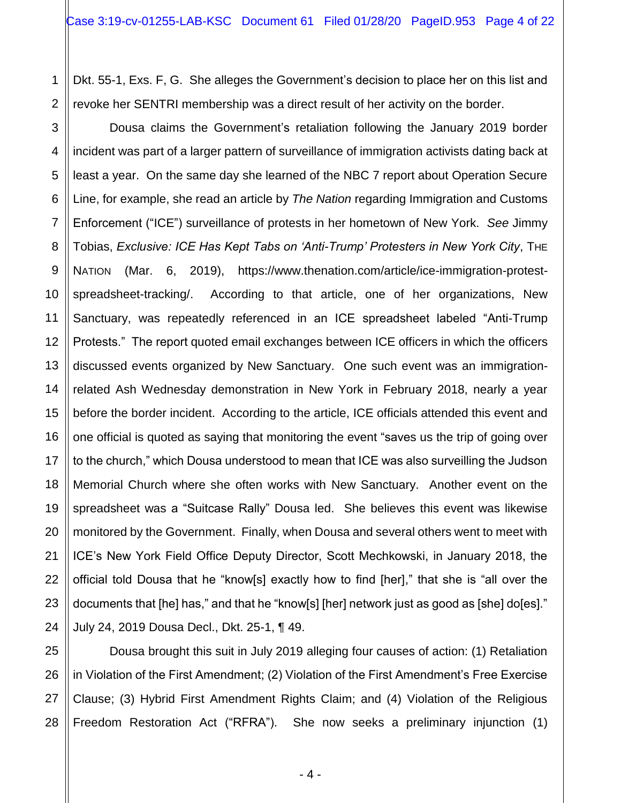1 Dkt. 55-1, Exs. F, G. She alleges the Government's decision to place her on this list and revoke her SENTRI membership was a direct result of her activity on the border.

Dousa claims the Government's retaliation following the January 2019 border incident was part of a larger pattern of surveillance of immigration activists dating back at least a year. On the same day she learned of the NBC 7 report about Operation Secure Line, for example, she read an article by *The Nation* regarding Immigration and Customs Enforcement ("ICE") surveillance of protests in her hometown of New York. *See* Jimmy Tobias, *Exclusive: ICE Has Kept Tabs on 'Anti-Trump' Protesters in New York City*, THE NATION (Mar. 6, 2019), https://www.thenation.com/article/ice-immigration-protestspreadsheet-tracking/. According to that article, one of her organizations, New Sanctuary, was repeatedly referenced in an ICE spreadsheet labeled "Anti-Trump Protests." The report quoted email exchanges between ICE officers in which the officers discussed events organized by New Sanctuary. One such event was an immigrationrelated Ash Wednesday demonstration in New York in February 2018, nearly a year before the border incident. According to the article, ICE officials attended this event and one official is quoted as saying that monitoring the event "saves us the trip of going over to the church," which Dousa understood to mean that ICE was also surveilling the Judson Memorial Church where she often works with New Sanctuary. Another event on the spreadsheet was a "Suitcase Rally" Dousa led. She believes this event was likewise monitored by the Government. Finally, when Dousa and several others went to meet with ICE's New York Field Office Deputy Director, Scott Mechkowski, in January 2018, the official told Dousa that he "know[s] exactly how to find [her]," that she is "all over the documents that [he] has," and that he "know[s] [her] network just as good as [she] do[es]." July 24, 2019 Dousa Decl., Dkt. 25-1, ¶ 49.

Dousa brought this suit in July 2019 alleging four causes of action: (1) Retaliation in Violation of the First Amendment; (2) Violation of the First Amendment's Free Exercise Clause; (3) Hybrid First Amendment Rights Claim; and (4) Violation of the Religious Freedom Restoration Act ("RFRA"). She now seeks a preliminary injunction (1)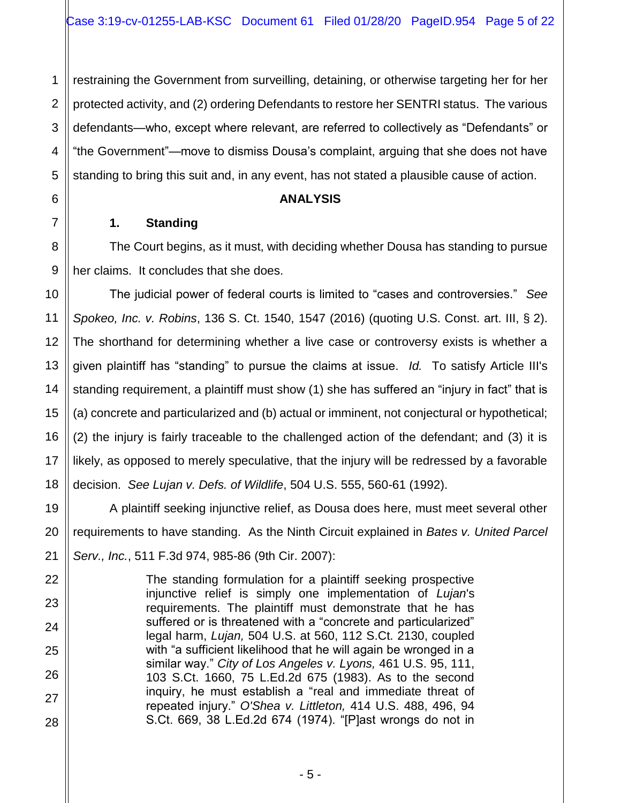1 2 3 4 5 restraining the Government from surveilling, detaining, or otherwise targeting her for her protected activity, and (2) ordering Defendants to restore her SENTRI status. The various defendants—who, except where relevant, are referred to collectively as "Defendants" or "the Government"—move to dismiss Dousa's complaint, arguing that she does not have standing to bring this suit and, in any event, has not stated a plausible cause of action.

## **ANALYSIS**

# **1. Standing**

6

7

8

9

10

11

12

13

14

15

16

17

18

19

20

21

22

23

24

25

26

27

28

The Court begins, as it must, with deciding whether Dousa has standing to pursue her claims. It concludes that she does.

The judicial power of federal courts is limited to "cases and controversies." *See Spokeo, Inc. v. Robins*, 136 S. Ct. 1540, 1547 (2016) (quoting U.S. Const. art. III, § 2). The shorthand for determining whether a live case or controversy exists is whether a given plaintiff has "standing" to pursue the claims at issue. *Id.* To satisfy Article III's standing requirement, a plaintiff must show (1) she has suffered an "injury in fact" that is (a) concrete and particularized and (b) actual or imminent, not conjectural or hypothetical; (2) the injury is fairly traceable to the challenged action of the defendant; and (3) it is likely, as opposed to merely speculative, that the injury will be redressed by a favorable decision. *See Lujan v. Defs. of Wildlife*, 504 U.S. 555, 560-61 (1992).

A plaintiff seeking injunctive relief, as Dousa does here, must meet several other requirements to have standing. As the Ninth Circuit explained in *Bates v. United Parcel Serv., Inc.*, 511 F.3d 974, 985-86 (9th Cir. 2007):

> The standing formulation for a plaintiff seeking prospective injunctive relief is simply one implementation of *Lujan*'s requirements. The plaintiff must demonstrate that he has suffered or is threatened with a "concrete and particularized" legal harm, *Lujan,* 504 U.S. at 560, 112 S.Ct. 2130, coupled with "a sufficient likelihood that he will again be wronged in a similar way." *City of Los Angeles v. Lyons,* 461 U.S. 95, 111, 103 S.Ct. 1660, 75 L.Ed.2d 675 (1983). As to the second inquiry, he must establish a "real and immediate threat of repeated injury." *O'Shea v. Littleton,* 414 U.S. 488, 496, 94 S.Ct. 669, 38 L.Ed.2d 674 (1974). "[P]ast wrongs do not in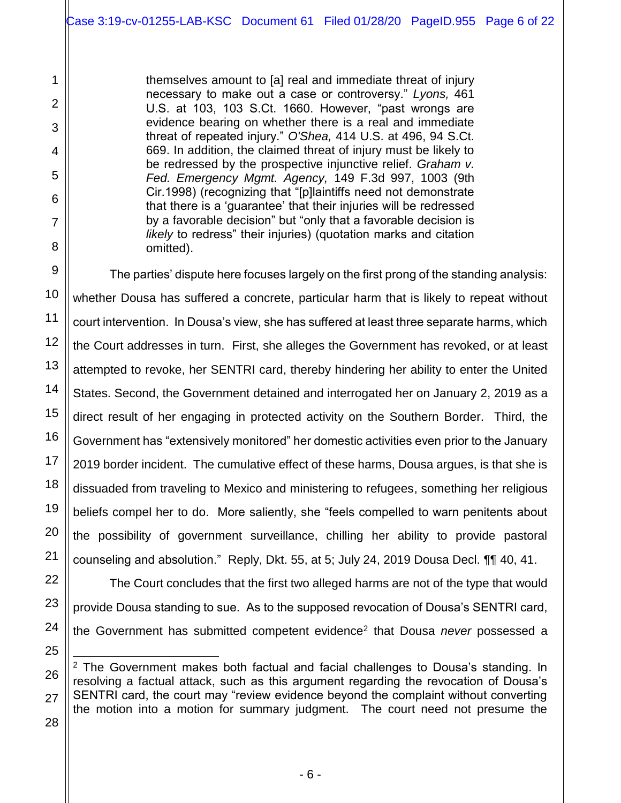themselves amount to [a] real and immediate threat of injury necessary to make out a case or controversy." *Lyons,* 461 U.S. at 103, 103 S.Ct. 1660. However, "past wrongs are evidence bearing on whether there is a real and immediate threat of repeated injury." *O'Shea,* 414 U.S. at 496, 94 S.Ct. 669. In addition, the claimed threat of injury must be likely to be redressed by the prospective injunctive relief. *Graham v. Fed. Emergency Mgmt. Agency,* 149 F.3d 997, 1003 (9th Cir.1998) (recognizing that "[p]laintiffs need not demonstrate that there is a 'guarantee' that their injuries will be redressed by a favorable decision" but "only that a favorable decision is *likely* to redress" their injuries) (quotation marks and citation omitted).

The parties' dispute here focuses largely on the first prong of the standing analysis: whether Dousa has suffered a concrete, particular harm that is likely to repeat without court intervention. In Dousa's view, she has suffered at least three separate harms, which the Court addresses in turn. First, she alleges the Government has revoked, or at least attempted to revoke, her SENTRI card, thereby hindering her ability to enter the United States. Second, the Government detained and interrogated her on January 2, 2019 as a direct result of her engaging in protected activity on the Southern Border. Third, the Government has "extensively monitored" her domestic activities even prior to the January 2019 border incident. The cumulative effect of these harms, Dousa argues, is that she is dissuaded from traveling to Mexico and ministering to refugees, something her religious beliefs compel her to do. More saliently, she "feels compelled to warn penitents about the possibility of government surveillance, chilling her ability to provide pastoral counseling and absolution." Reply, Dkt. 55, at 5; July 24, 2019 Dousa Decl. ¶¶ 40, 41.

The Court concludes that the first two alleged harms are not of the type that would provide Dousa standing to sue. As to the supposed revocation of Dousa's SENTRI card, the Government has submitted competent evidence<sup>2</sup> that Dousa *never* possessed a

l  $2$  The Government makes both factual and facial challenges to Dousa's standing. In resolving a factual attack, such as this argument regarding the revocation of Dousa's SENTRI card, the court may "review evidence beyond the complaint without converting the motion into a motion for summary judgment. The court need not presume the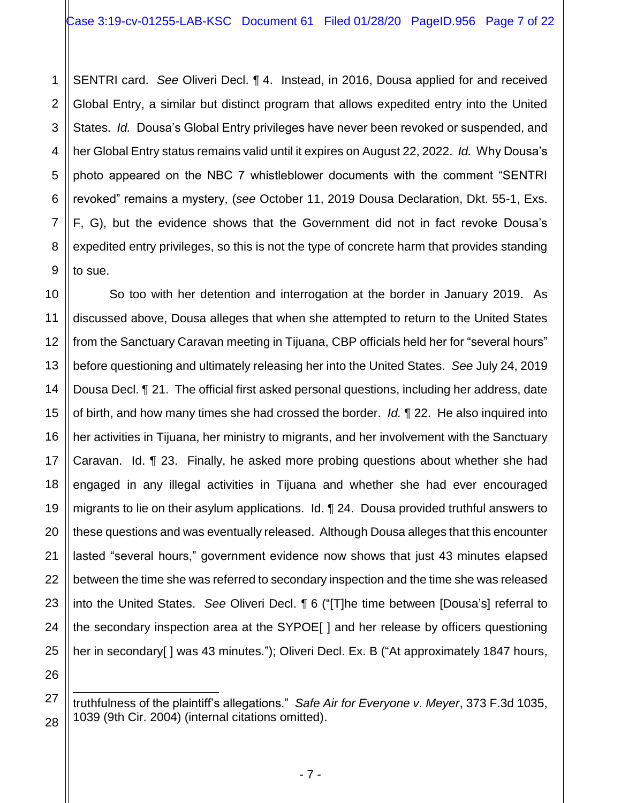1 2 3 4 SENTRI card. *See* Oliveri Decl. ¶ 4. Instead, in 2016, Dousa applied for and received Global Entry, a similar but distinct program that allows expedited entry into the United States. *Id.* Dousa's Global Entry privileges have never been revoked or suspended, and her Global Entry status remains valid until it expires on August 22, 2022. *Id.* Why Dousa's photo appeared on the NBC 7 whistleblower documents with the comment "SENTRI revoked" remains a mystery, (*see* October 11, 2019 Dousa Declaration, Dkt. 55-1, Exs. F, G), but the evidence shows that the Government did not in fact revoke Dousa's expedited entry privileges, so this is not the type of concrete harm that provides standing to sue.

So too with her detention and interrogation at the border in January 2019. As discussed above, Dousa alleges that when she attempted to return to the United States from the Sanctuary Caravan meeting in Tijuana, CBP officials held her for "several hours" before questioning and ultimately releasing her into the United States. *See* July 24, 2019 Dousa Decl. ¶ 21. The official first asked personal questions, including her address, date of birth, and how many times she had crossed the border. *Id.* ¶ 22. He also inquired into her activities in Tijuana, her ministry to migrants, and her involvement with the Sanctuary Caravan. Id. ¶ 23. Finally, he asked more probing questions about whether she had engaged in any illegal activities in Tijuana and whether she had ever encouraged migrants to lie on their asylum applications. Id. ¶ 24. Dousa provided truthful answers to these questions and was eventually released. Although Dousa alleges that this encounter lasted "several hours," government evidence now shows that just 43 minutes elapsed between the time she was referred to secondary inspection and the time she was released into the United States. *See* Oliveri Decl. ¶ 6 ("[T]he time between [Dousa's] referral to the secondary inspection area at the SYPOE[ ] and her release by officers questioning her in secondary[ ] was 43 minutes."); Oliveri Decl. Ex. B ("At approximately 1847 hours,

 $\overline{a}$ truthfulness of the plaintiff's allegations." *Safe Air for Everyone v. Meyer*, 373 F.3d 1035, 1039 (9th Cir. 2004) (internal citations omitted).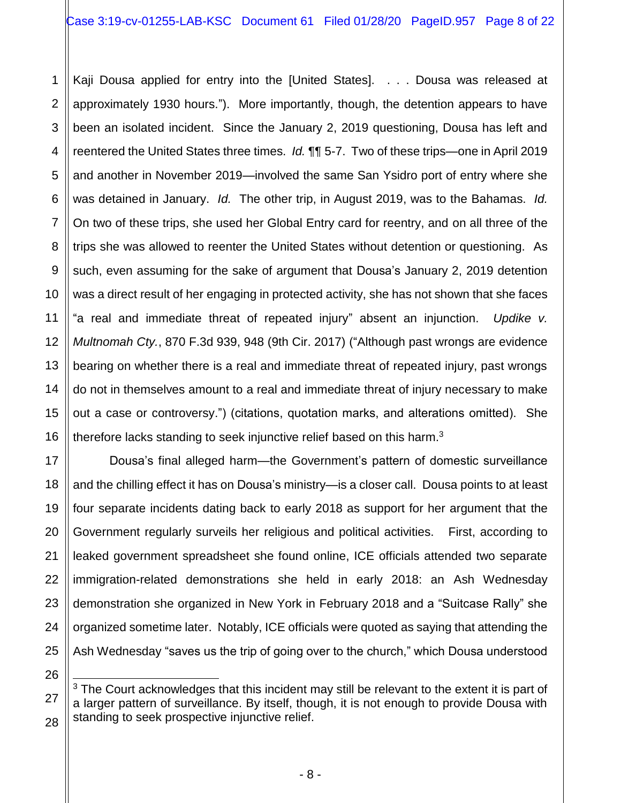1

11

17

18

19

20

21

22

23

24

25

26

27

28

2 3 4 5 6 7 8 9 10 12 13 14 15 16 Kaji Dousa applied for entry into the [United States]. . . . Dousa was released at approximately 1930 hours."). More importantly, though, the detention appears to have been an isolated incident. Since the January 2, 2019 questioning, Dousa has left and reentered the United States three times. *Id.* ¶¶ 5-7. Two of these trips—one in April 2019 and another in November 2019—involved the same San Ysidro port of entry where she was detained in January. *Id.* The other trip, in August 2019, was to the Bahamas. *Id.* On two of these trips, she used her Global Entry card for reentry, and on all three of the trips she was allowed to reenter the United States without detention or questioning. As such, even assuming for the sake of argument that Dousa's January 2, 2019 detention was a direct result of her engaging in protected activity, she has not shown that she faces "a real and immediate threat of repeated injury" absent an injunction. *Updike v. Multnomah Cty.*, 870 F.3d 939, 948 (9th Cir. 2017) ("Although past wrongs are evidence bearing on whether there is a real and immediate threat of repeated injury, past wrongs do not in themselves amount to a real and immediate threat of injury necessary to make out a case or controversy.") (citations, quotation marks, and alterations omitted). She therefore lacks standing to seek injunctive relief based on this harm.<sup>3</sup>

Dousa's final alleged harm—the Government's pattern of domestic surveillance and the chilling effect it has on Dousa's ministry—is a closer call. Dousa points to at least four separate incidents dating back to early 2018 as support for her argument that the Government regularly surveils her religious and political activities. First, according to leaked government spreadsheet she found online, ICE officials attended two separate immigration-related demonstrations she held in early 2018: an Ash Wednesday demonstration she organized in New York in February 2018 and a "Suitcase Rally" she organized sometime later. Notably, ICE officials were quoted as saying that attending the Ash Wednesday "saves us the trip of going over to the church," which Dousa understood

 $\overline{a}$  $3$  The Court acknowledges that this incident may still be relevant to the extent it is part of a larger pattern of surveillance. By itself, though, it is not enough to provide Dousa with standing to seek prospective injunctive relief.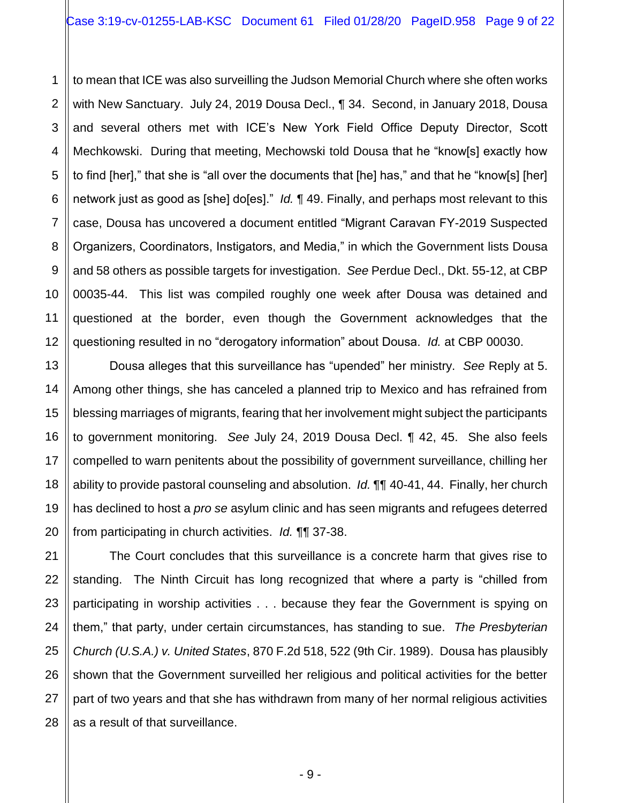1 2 3 to mean that ICE was also surveilling the Judson Memorial Church where she often works with New Sanctuary. July 24, 2019 Dousa Decl., ¶ 34. Second, in January 2018, Dousa and several others met with ICE's New York Field Office Deputy Director, Scott Mechkowski. During that meeting, Mechowski told Dousa that he "know[s] exactly how to find [her]," that she is "all over the documents that [he] has," and that he "know[s] [her] network just as good as [she] do[es]." *Id.* ¶ 49. Finally, and perhaps most relevant to this case, Dousa has uncovered a document entitled "Migrant Caravan FY-2019 Suspected Organizers, Coordinators, Instigators, and Media," in which the Government lists Dousa and 58 others as possible targets for investigation. *See* Perdue Decl., Dkt. 55-12, at CBP 00035-44. This list was compiled roughly one week after Dousa was detained and questioned at the border, even though the Government acknowledges that the questioning resulted in no "derogatory information" about Dousa. *Id.* at CBP 00030.

Dousa alleges that this surveillance has "upended" her ministry. *See* Reply at 5. Among other things, she has canceled a planned trip to Mexico and has refrained from blessing marriages of migrants, fearing that her involvement might subject the participants to government monitoring. *See* July 24, 2019 Dousa Decl. ¶ 42, 45. She also feels compelled to warn penitents about the possibility of government surveillance, chilling her ability to provide pastoral counseling and absolution. *Id.* ¶¶ 40-41, 44. Finally, her church has declined to host a *pro se* asylum clinic and has seen migrants and refugees deterred from participating in church activities. *Id.* ¶¶ 37-38.

The Court concludes that this surveillance is a concrete harm that gives rise to standing. The Ninth Circuit has long recognized that where a party is "chilled from participating in worship activities . . . because they fear the Government is spying on them," that party, under certain circumstances, has standing to sue. *The Presbyterian Church (U.S.A.) v. United States*, 870 F.2d 518, 522 (9th Cir. 1989). Dousa has plausibly shown that the Government surveilled her religious and political activities for the better part of two years and that she has withdrawn from many of her normal religious activities as a result of that surveillance.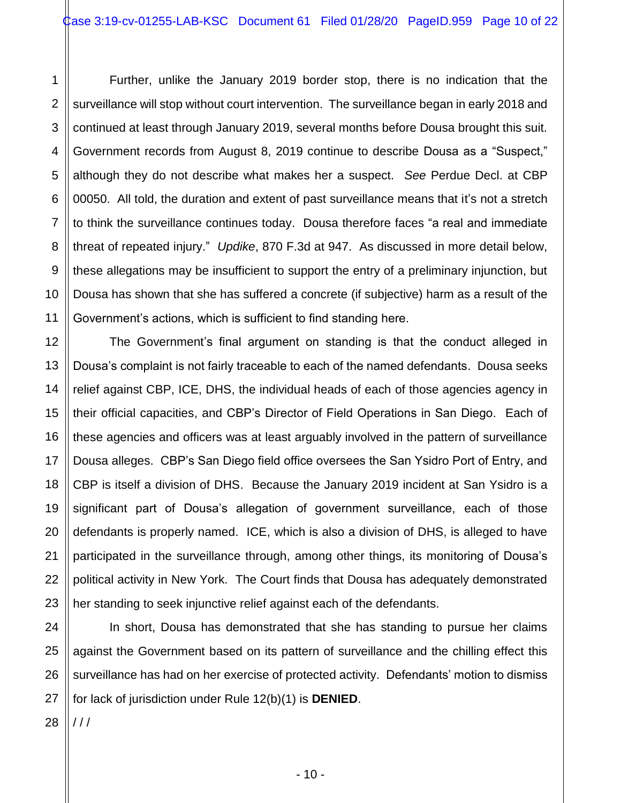1 2 3 4 5 6 7 8 9 10 11 Further, unlike the January 2019 border stop, there is no indication that the surveillance will stop without court intervention. The surveillance began in early 2018 and continued at least through January 2019, several months before Dousa brought this suit. Government records from August 8, 2019 continue to describe Dousa as a "Suspect," although they do not describe what makes her a suspect. *See* Perdue Decl. at CBP 00050. All told, the duration and extent of past surveillance means that it's not a stretch to think the surveillance continues today. Dousa therefore faces "a real and immediate threat of repeated injury." *Updike*, 870 F.3d at 947. As discussed in more detail below, these allegations may be insufficient to support the entry of a preliminary injunction, but Dousa has shown that she has suffered a concrete (if subjective) harm as a result of the Government's actions, which is sufficient to find standing here.

The Government's final argument on standing is that the conduct alleged in Dousa's complaint is not fairly traceable to each of the named defendants. Dousa seeks relief against CBP, ICE, DHS, the individual heads of each of those agencies agency in their official capacities, and CBP's Director of Field Operations in San Diego. Each of these agencies and officers was at least arguably involved in the pattern of surveillance Dousa alleges. CBP's San Diego field office oversees the San Ysidro Port of Entry, and CBP is itself a division of DHS. Because the January 2019 incident at San Ysidro is a significant part of Dousa's allegation of government surveillance, each of those defendants is properly named. ICE, which is also a division of DHS, is alleged to have participated in the surveillance through, among other things, its monitoring of Dousa's political activity in New York. The Court finds that Dousa has adequately demonstrated her standing to seek injunctive relief against each of the defendants.

24 25 26 27 In short, Dousa has demonstrated that she has standing to pursue her claims against the Government based on its pattern of surveillance and the chilling effect this surveillance has had on her exercise of protected activity. Defendants' motion to dismiss for lack of jurisdiction under Rule 12(b)(1) is **DENIED**.

28  $111$ 

12

13

14

15

16

17

18

19

20

21

22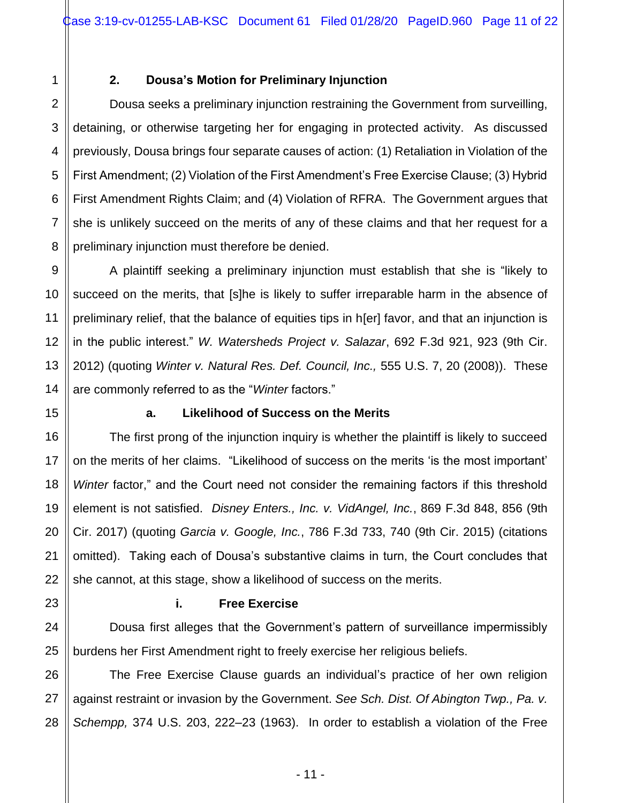1

2

3

4

5

6

7

8

9

10

11

12

13

14

15

16

17

18

19

20

21

22

23

24

25

# **2. Dousa's Motion for Preliminary Injunction**

Dousa seeks a preliminary injunction restraining the Government from surveilling, detaining, or otherwise targeting her for engaging in protected activity. As discussed previously, Dousa brings four separate causes of action: (1) Retaliation in Violation of the First Amendment; (2) Violation of the First Amendment's Free Exercise Clause; (3) Hybrid First Amendment Rights Claim; and (4) Violation of RFRA. The Government argues that she is unlikely succeed on the merits of any of these claims and that her request for a preliminary injunction must therefore be denied.

A plaintiff seeking a preliminary injunction must establish that she is "likely to succeed on the merits, that [s]he is likely to suffer irreparable harm in the absence of preliminary relief, that the balance of equities tips in h[er] favor, and that an injunction is in the public interest." *W. Watersheds Project v. Salazar*, 692 F.3d 921, 923 (9th Cir. 2012) (quoting *Winter v. Natural Res. Def. Council, Inc.,* 555 U.S. 7, 20 (2008)). These are commonly referred to as the "*Winter* factors."

# **a. Likelihood of Success on the Merits**

The first prong of the injunction inquiry is whether the plaintiff is likely to succeed on the merits of her claims. "Likelihood of success on the merits 'is the most important' *Winter* factor," and the Court need not consider the remaining factors if this threshold element is not satisfied. *Disney Enters., Inc. v. VidAngel, Inc.*, 869 F.3d 848, 856 (9th Cir. 2017) (quoting *Garcia v. Google, Inc.*, 786 F.3d 733, 740 (9th Cir. 2015) (citations omitted). Taking each of Dousa's substantive claims in turn, the Court concludes that she cannot, at this stage, show a likelihood of success on the merits.

## **i. Free Exercise**

Dousa first alleges that the Government's pattern of surveillance impermissibly burdens her First Amendment right to freely exercise her religious beliefs.

26 27 28 The Free Exercise Clause guards an individual's practice of her own religion against restraint or invasion by the Government. *See Sch. Dist. Of Abington Twp., Pa. v. Schempp,* 374 U.S. 203, 222–23 (1963). In order to establish a violation of the Free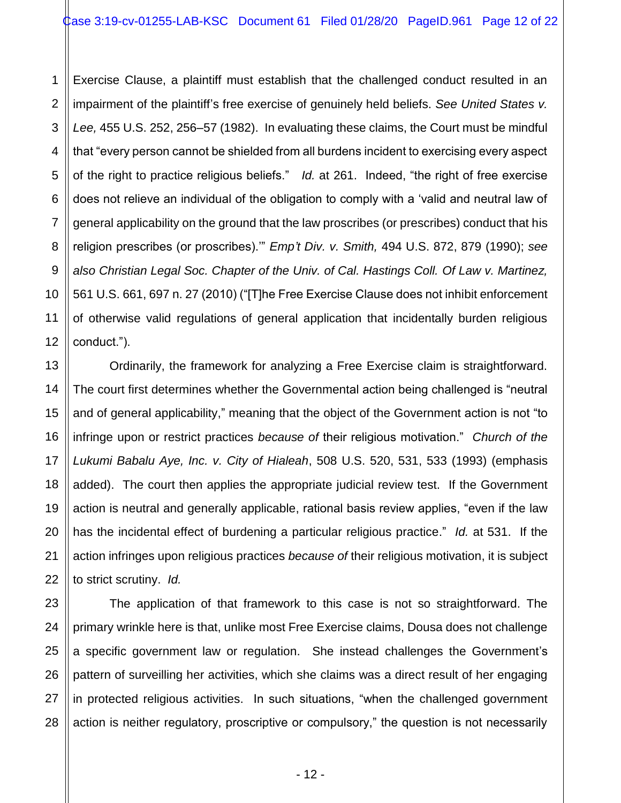1 2 Exercise Clause, a plaintiff must establish that the challenged conduct resulted in an impairment of the plaintiff's free exercise of genuinely held beliefs. *See United States v. Lee,* 455 U.S. 252, 256–57 (1982). In evaluating these claims, the Court must be mindful that "every person cannot be shielded from all burdens incident to exercising every aspect of the right to practice religious beliefs." *Id.* at 261. Indeed, "the right of free exercise does not relieve an individual of the obligation to comply with a 'valid and neutral law of general applicability on the ground that the law proscribes (or prescribes) conduct that his religion prescribes (or proscribes).'" *Emp't Div. v. Smith,* 494 U.S. 872, 879 (1990); *see also Christian Legal Soc. Chapter of the Univ. of Cal. Hastings Coll. Of Law v. Martinez,* 561 U.S. 661, 697 n. 27 (2010) ("[T]he Free Exercise Clause does not inhibit enforcement of otherwise valid regulations of general application that incidentally burden religious conduct.").

Ordinarily, the framework for analyzing a Free Exercise claim is straightforward. The court first determines whether the Governmental action being challenged is "neutral and of general applicability," meaning that the object of the Government action is not "to infringe upon or restrict practices *because of* their religious motivation." *Church of the Lukumi Babalu Aye, Inc. v. City of Hialeah*, 508 U.S. 520, 531, 533 (1993) (emphasis added). The court then applies the appropriate judicial review test. If the Government action is neutral and generally applicable, rational basis review applies, "even if the law has the incidental effect of burdening a particular religious practice." *Id.* at 531. If the action infringes upon religious practices *because of* their religious motivation, it is subject to strict scrutiny. *Id.*

The application of that framework to this case is not so straightforward. The primary wrinkle here is that, unlike most Free Exercise claims, Dousa does not challenge a specific government law or regulation. She instead challenges the Government's pattern of surveilling her activities, which she claims was a direct result of her engaging in protected religious activities. In such situations, "when the challenged government action is neither regulatory, proscriptive or compulsory," the question is not necessarily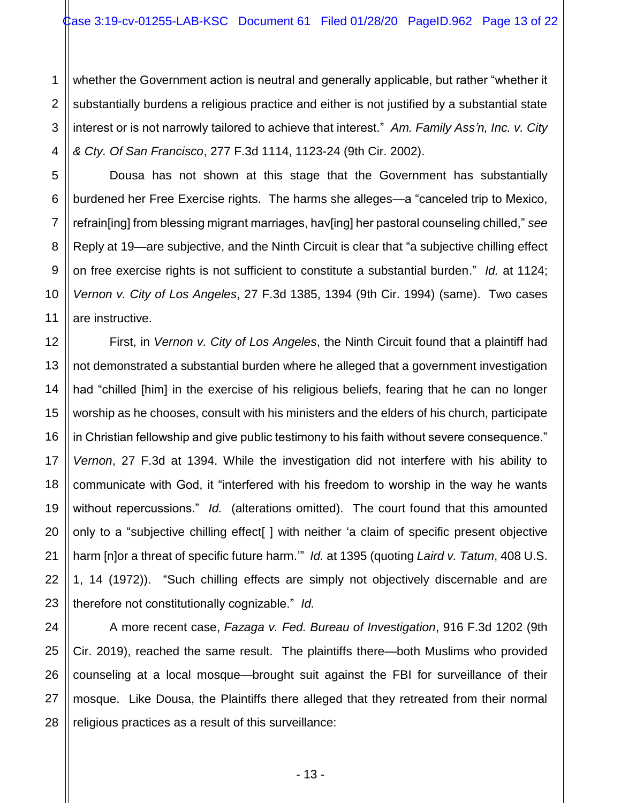1 2 whether the Government action is neutral and generally applicable, but rather "whether it substantially burdens a religious practice and either is not justified by a substantial state interest or is not narrowly tailored to achieve that interest." *Am. Family Ass'n, Inc. v. City & Cty. Of San Francisco*, 277 F.3d 1114, 1123-24 (9th Cir. 2002).

Dousa has not shown at this stage that the Government has substantially burdened her Free Exercise rights. The harms she alleges—a "canceled trip to Mexico, refrain[ing] from blessing migrant marriages, hav[ing] her pastoral counseling chilled," *see*  Reply at 19—are subjective, and the Ninth Circuit is clear that "a subjective chilling effect on free exercise rights is not sufficient to constitute a substantial burden." *Id.* at 1124; *Vernon v. City of Los Angeles*, 27 F.3d 1385, 1394 (9th Cir. 1994) (same). Two cases are instructive.

First, in *Vernon v. City of Los Angeles*, the Ninth Circuit found that a plaintiff had not demonstrated a substantial burden where he alleged that a government investigation had "chilled [him] in the exercise of his religious beliefs, fearing that he can no longer worship as he chooses, consult with his ministers and the elders of his church, participate in Christian fellowship and give public testimony to his faith without severe consequence." *Vernon*, 27 F.3d at 1394. While the investigation did not interfere with his ability to communicate with God, it "interfered with his freedom to worship in the way he wants without repercussions." *Id.* (alterations omitted). The court found that this amounted only to a "subjective chilling effect[ ] with neither 'a claim of specific present objective harm [n]or a threat of specific future harm.'" *Id.* at 1395 (quoting *Laird v. Tatum*, 408 U.S. 1, 14 (1972)). "Such chilling effects are simply not objectively discernable and are therefore not constitutionally cognizable." *Id.*

A more recent case, *Fazaga v. Fed. Bureau of Investigation*, 916 F.3d 1202 (9th Cir. 2019), reached the same result. The plaintiffs there—both Muslims who provided counseling at a local mosque—brought suit against the FBI for surveillance of their mosque. Like Dousa, the Plaintiffs there alleged that they retreated from their normal religious practices as a result of this surveillance: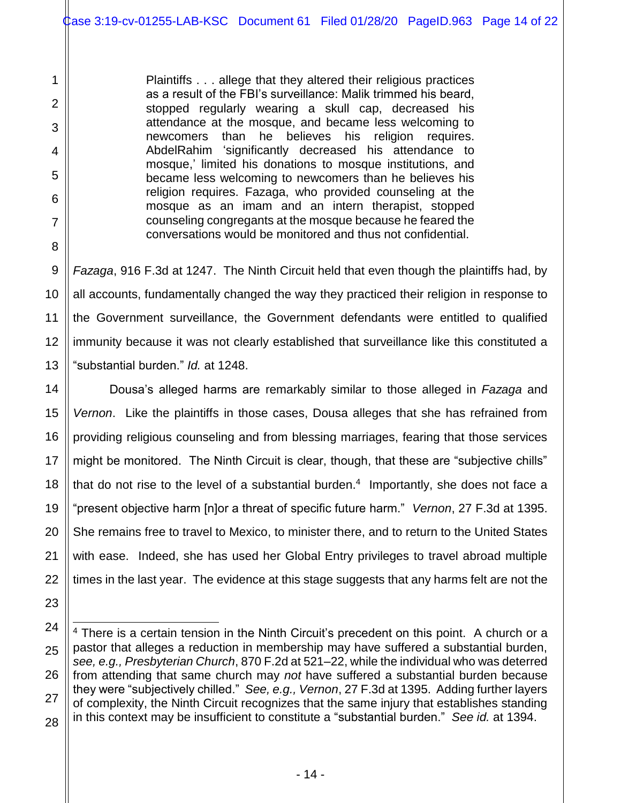Plaintiffs . . . allege that they altered their religious practices as a result of the FBI's surveillance: Malik trimmed his beard, stopped regularly wearing a skull cap, decreased his attendance at the mosque, and became less welcoming to newcomers than he believes his religion requires. AbdelRahim 'significantly decreased his attendance to mosque,' limited his donations to mosque institutions, and became less welcoming to newcomers than he believes his religion requires. Fazaga, who provided counseling at the mosque as an imam and an intern therapist, stopped counseling congregants at the mosque because he feared the conversations would be monitored and thus not confidential.

1

2

3

4

5

6

7

8

9

10

11

12

13

14

15

16

17

18

19

20

21

22

23

*Fazaga*, 916 F.3d at 1247. The Ninth Circuit held that even though the plaintiffs had, by all accounts, fundamentally changed the way they practiced their religion in response to the Government surveillance, the Government defendants were entitled to qualified immunity because it was not clearly established that surveillance like this constituted a "substantial burden." *Id.* at 1248.

Dousa's alleged harms are remarkably similar to those alleged in *Fazaga* and *Vernon*. Like the plaintiffs in those cases, Dousa alleges that she has refrained from providing religious counseling and from blessing marriages, fearing that those services might be monitored. The Ninth Circuit is clear, though, that these are "subjective chills" that do not rise to the level of a substantial burden. $4$  Importantly, she does not face a "present objective harm [n]or a threat of specific future harm." *Vernon*, 27 F.3d at 1395. She remains free to travel to Mexico, to minister there, and to return to the United States with ease. Indeed, she has used her Global Entry privileges to travel abroad multiple times in the last year. The evidence at this stage suggests that any harms felt are not the

<sup>24</sup> 25 26 27 28  $\overline{a}$  $4$  There is a certain tension in the Ninth Circuit's precedent on this point. A church or a pastor that alleges a reduction in membership may have suffered a substantial burden, *see, e.g., Presbyterian Church*, 870 F.2d at 521–22, while the individual who was deterred from attending that same church may *not* have suffered a substantial burden because they were "subjectively chilled." *See, e.g., Vernon*, 27 F.3d at 1395. Adding further layers of complexity, the Ninth Circuit recognizes that the same injury that establishes standing in this context may be insufficient to constitute a "substantial burden." *See id.* at 1394.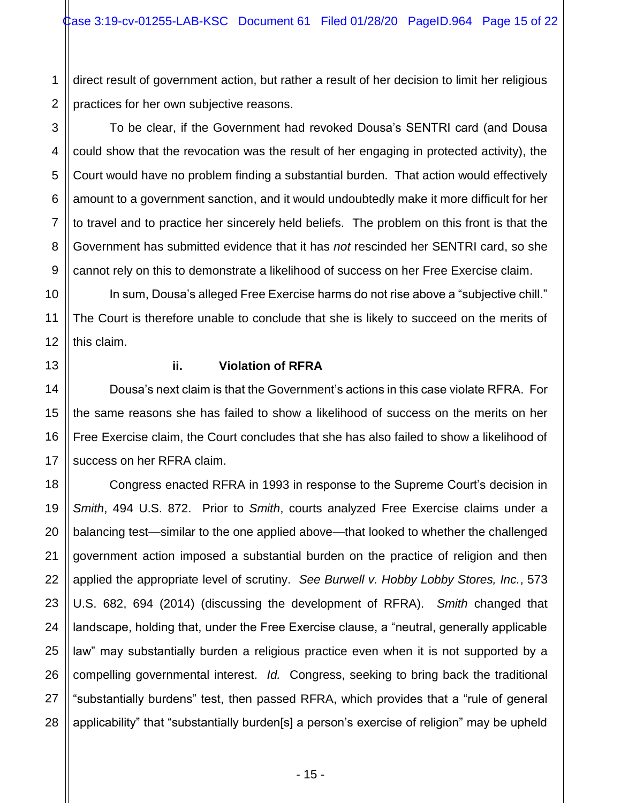1 2 direct result of government action, but rather a result of her decision to limit her religious practices for her own subjective reasons.

To be clear, if the Government had revoked Dousa's SENTRI card (and Dousa could show that the revocation was the result of her engaging in protected activity), the Court would have no problem finding a substantial burden. That action would effectively amount to a government sanction, and it would undoubtedly make it more difficult for her to travel and to practice her sincerely held beliefs. The problem on this front is that the Government has submitted evidence that it has *not* rescinded her SENTRI card, so she cannot rely on this to demonstrate a likelihood of success on her Free Exercise claim.

In sum, Dousa's alleged Free Exercise harms do not rise above a "subjective chill." The Court is therefore unable to conclude that she is likely to succeed on the merits of this claim.

3

4

5

6

7

8

9

10

11

12

13

14

15

16

17

# **ii. Violation of RFRA**

Dousa's next claim is that the Government's actions in this case violate RFRA. For the same reasons she has failed to show a likelihood of success on the merits on her Free Exercise claim, the Court concludes that she has also failed to show a likelihood of success on her RFRA claim.

18 19 20 21 22 23 24 25 26 27 28 Congress enacted RFRA in 1993 in response to the Supreme Court's decision in *Smith*, 494 U.S. 872. Prior to *Smith*, courts analyzed Free Exercise claims under a balancing test—similar to the one applied above—that looked to whether the challenged government action imposed a substantial burden on the practice of religion and then applied the appropriate level of scrutiny. *See Burwell v. Hobby Lobby Stores, Inc.*, 573 U.S. 682, 694 (2014) (discussing the development of RFRA). *Smith* changed that landscape, holding that, under the Free Exercise clause, a "neutral, generally applicable law" may substantially burden a religious practice even when it is not supported by a compelling governmental interest. *Id.* Congress, seeking to bring back the traditional "substantially burdens" test, then passed RFRA, which provides that a "rule of general applicability" that "substantially burden[s] a person's exercise of religion" may be upheld

- 15 -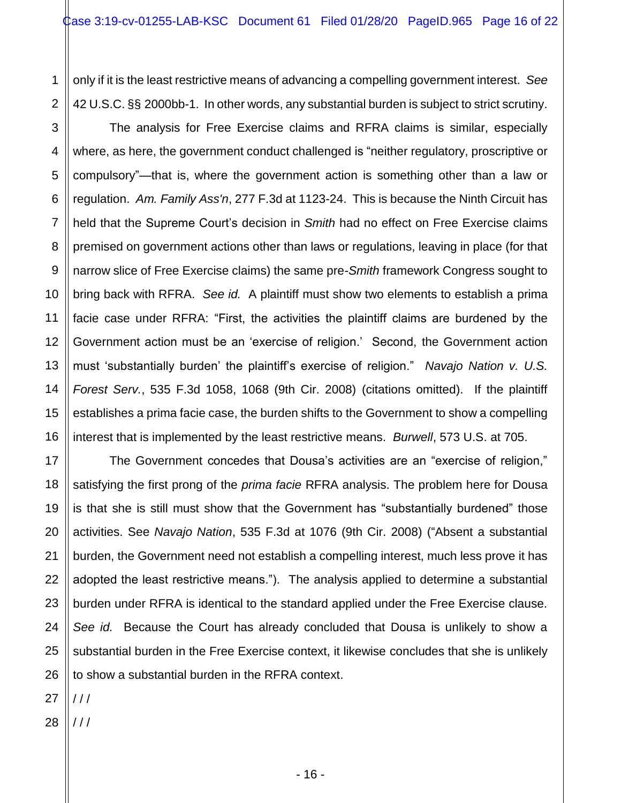1 2 only if it is the least restrictive means of advancing a compelling government interest. *See*  42 U.S.C. §§ 2000bb-1. In other words, any substantial burden is subject to strict scrutiny.

3 4 5 6 7 8 9 10 12 13 14 15 16 The analysis for Free Exercise claims and RFRA claims is similar, especially where, as here, the government conduct challenged is "neither regulatory, proscriptive or compulsory"—that is, where the government action is something other than a law or regulation. *Am. Family Ass'n*, 277 F.3d at 1123-24. This is because the Ninth Circuit has held that the Supreme Court's decision in *Smith* had no effect on Free Exercise claims premised on government actions other than laws or regulations, leaving in place (for that narrow slice of Free Exercise claims) the same pre-*Smith* framework Congress sought to bring back with RFRA. *See id.* A plaintiff must show two elements to establish a prima facie case under RFRA: "First, the activities the plaintiff claims are burdened by the Government action must be an 'exercise of religion.' Second, the Government action must 'substantially burden' the plaintiff's exercise of religion." *Navajo Nation v. U.S. Forest Serv.*, 535 F.3d 1058, 1068 (9th Cir. 2008) (citations omitted). If the plaintiff establishes a prima facie case, the burden shifts to the Government to show a compelling interest that is implemented by the least restrictive means. *Burwell*, 573 U.S. at 705.

17 18 19 20 21 22 23 24 25 26 The Government concedes that Dousa's activities are an "exercise of religion," satisfying the first prong of the *prima facie* RFRA analysis. The problem here for Dousa is that she is still must show that the Government has "substantially burdened" those activities. See *Navajo Nation*, 535 F.3d at 1076 (9th Cir. 2008) ("Absent a substantial burden, the Government need not establish a compelling interest, much less prove it has adopted the least restrictive means."). The analysis applied to determine a substantial burden under RFRA is identical to the standard applied under the Free Exercise clause. *See id.* Because the Court has already concluded that Dousa is unlikely to show a substantial burden in the Free Exercise context, it likewise concludes that she is unlikely to show a substantial burden in the RFRA context.

27 / / /

11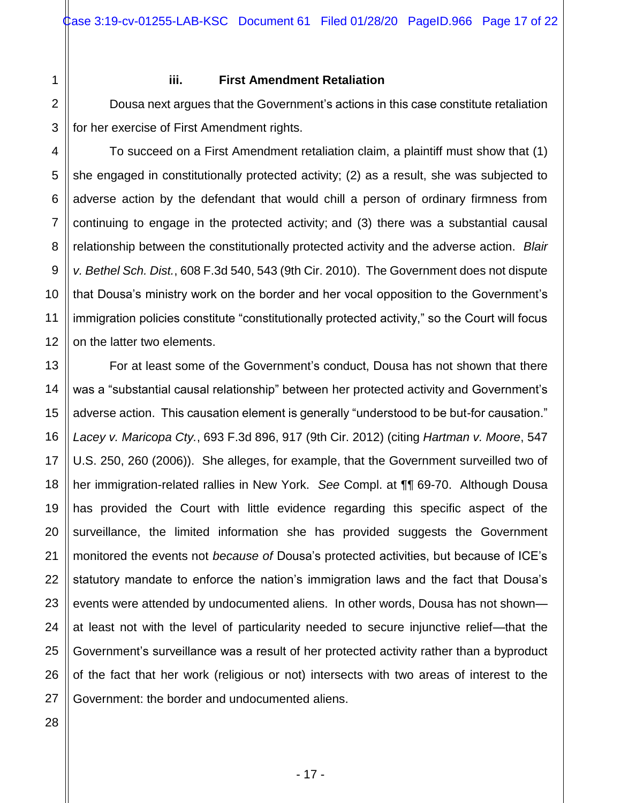1

2

3

4

5

6

7

8

9

10

11

12

13

14

15

16

17

18

19

20

21

22

23

24

25

## **iii. First Amendment Retaliation**

Dousa next argues that the Government's actions in this case constitute retaliation for her exercise of First Amendment rights.

To succeed on a First Amendment retaliation claim, a plaintiff must show that (1) she engaged in constitutionally protected activity; (2) as a result, she was subjected to adverse action by the defendant that would chill a person of ordinary firmness from continuing to engage in the protected activity; and (3) there was a substantial causal relationship between the constitutionally protected activity and the adverse action. *Blair v. Bethel Sch. Dist.*, 608 F.3d 540, 543 (9th Cir. 2010). The Government does not dispute that Dousa's ministry work on the border and her vocal opposition to the Government's immigration policies constitute "constitutionally protected activity," so the Court will focus on the latter two elements.

For at least some of the Government's conduct, Dousa has not shown that there was a "substantial causal relationship" between her protected activity and Government's adverse action. This causation element is generally "understood to be but-for causation." *Lacey v. Maricopa Cty.*, 693 F.3d 896, 917 (9th Cir. 2012) (citing *Hartman v. Moore*, 547 U.S. 250, 260 (2006)). She alleges, for example, that the Government surveilled two of her immigration-related rallies in New York. *See* Compl. at ¶¶ 69-70. Although Dousa has provided the Court with little evidence regarding this specific aspect of the surveillance, the limited information she has provided suggests the Government monitored the events not *because of* Dousa's protected activities, but because of ICE's statutory mandate to enforce the nation's immigration laws and the fact that Dousa's events were attended by undocumented aliens. In other words, Dousa has not shown at least not with the level of particularity needed to secure injunctive relief—that the Government's surveillance was a result of her protected activity rather than a byproduct of the fact that her work (religious or not) intersects with two areas of interest to the Government: the border and undocumented aliens.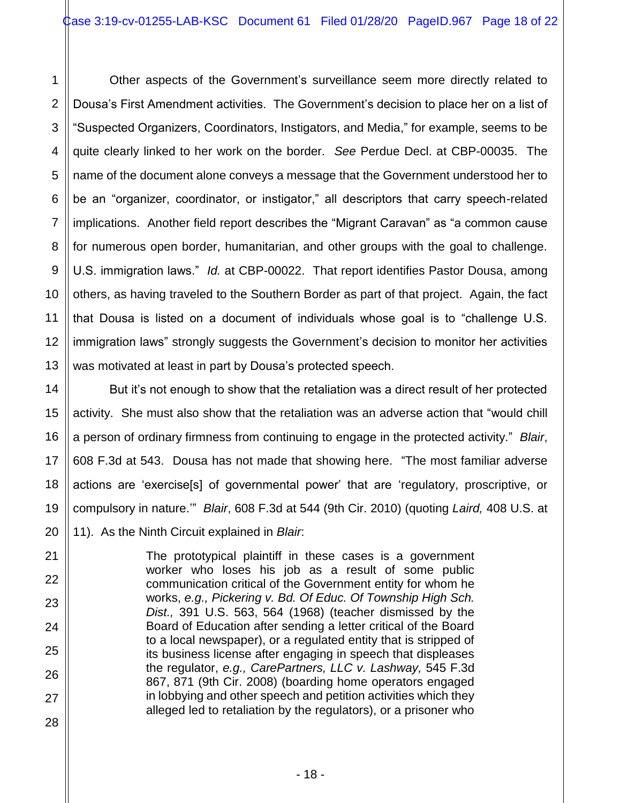1 2 3 4 5 6 7 8 9 10 12 13 Other aspects of the Government's surveillance seem more directly related to Dousa's First Amendment activities. The Government's decision to place her on a list of "Suspected Organizers, Coordinators, Instigators, and Media," for example, seems to be quite clearly linked to her work on the border. *See* Perdue Decl. at CBP-00035. The name of the document alone conveys a message that the Government understood her to be an "organizer, coordinator, or instigator," all descriptors that carry speech-related implications. Another field report describes the "Migrant Caravan" as "a common cause for numerous open border, humanitarian, and other groups with the goal to challenge. U.S. immigration laws." *Id.* at CBP-00022. That report identifies Pastor Dousa, among others, as having traveled to the Southern Border as part of that project. Again, the fact that Dousa is listed on a document of individuals whose goal is to "challenge U.S. immigration laws" strongly suggests the Government's decision to monitor her activities was motivated at least in part by Dousa's protected speech.

11

14

15

16

17

18

19

20

21

22

23

24

25

26

27

28

But it's not enough to show that the retaliation was a direct result of her protected activity. She must also show that the retaliation was an adverse action that "would chill a person of ordinary firmness from continuing to engage in the protected activity." *Blair*, 608 F.3d at 543. Dousa has not made that showing here. "The most familiar adverse actions are 'exercise[s] of governmental power' that are 'regulatory, proscriptive, or compulsory in nature.'" *Blair*, 608 F.3d at 544 (9th Cir. 2010) (quoting *Laird,* 408 U.S. at 11). As the Ninth Circuit explained in *Blair*:

> The prototypical plaintiff in these cases is a government worker who loses his job as a result of some public communication critical of the Government entity for whom he works, *e.g., Pickering v. Bd. Of Educ. Of Township High Sch. Dist.,* 391 U.S. 563, 564 (1968) (teacher dismissed by the Board of Education after sending a letter critical of the Board to a local newspaper), or a regulated entity that is stripped of its business license after engaging in speech that displeases the regulator, *e.g., CarePartners, LLC v. Lashway,* 545 F.3d 867, 871 (9th Cir. 2008) (boarding home operators engaged in lobbying and other speech and petition activities which they alleged led to retaliation by the regulators), or a prisoner who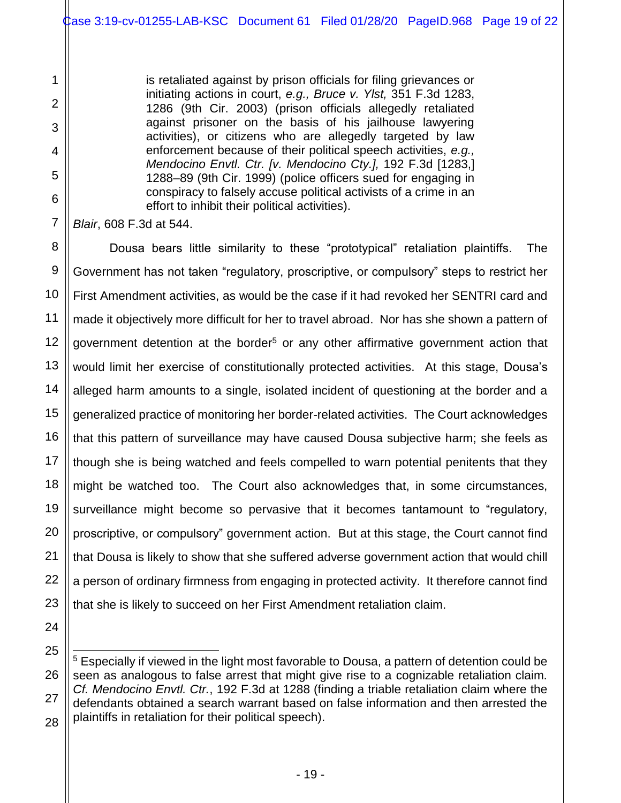is retaliated against by prison officials for filing grievances or initiating actions in court, *e.g., Bruce v. Ylst,* 351 F.3d 1283, 1286 (9th Cir. 2003) (prison officials allegedly retaliated against prisoner on the basis of his jailhouse lawyering activities), or citizens who are allegedly targeted by law enforcement because of their political speech activities, *e.g., Mendocino Envtl. Ctr. [v. Mendocino Cty.],* 192 F.3d [1283,] 1288–89 (9th Cir. 1999) (police officers sued for engaging in conspiracy to falsely accuse political activists of a crime in an effort to inhibit their political activities).

*Blair*, 608 F.3d at 544.

1

2

3

4

5

6

7

8

9

10

11

12

13

14

15

16

17

18

19

20

21

22

23

24

25

l

27

28

Dousa bears little similarity to these "prototypical" retaliation plaintiffs. The Government has not taken "regulatory, proscriptive, or compulsory" steps to restrict her First Amendment activities, as would be the case if it had revoked her SENTRI card and made it objectively more difficult for her to travel abroad. Nor has she shown a pattern of government detention at the border<sup>5</sup> or any other affirmative government action that would limit her exercise of constitutionally protected activities. At this stage, Dousa's alleged harm amounts to a single, isolated incident of questioning at the border and a generalized practice of monitoring her border-related activities. The Court acknowledges that this pattern of surveillance may have caused Dousa subjective harm; she feels as though she is being watched and feels compelled to warn potential penitents that they might be watched too. The Court also acknowledges that, in some circumstances, surveillance might become so pervasive that it becomes tantamount to "regulatory, proscriptive, or compulsory" government action. But at this stage, the Court cannot find that Dousa is likely to show that she suffered adverse government action that would chill a person of ordinary firmness from engaging in protected activity. It therefore cannot find that she is likely to succeed on her First Amendment retaliation claim.

<sup>26</sup> <sup>5</sup> Especially if viewed in the light most favorable to Dousa, a pattern of detention could be seen as analogous to false arrest that might give rise to a cognizable retaliation claim. *Cf. Mendocino Envtl. Ctr.*, 192 F.3d at 1288 (finding a triable retaliation claim where the defendants obtained a search warrant based on false information and then arrested the plaintiffs in retaliation for their political speech).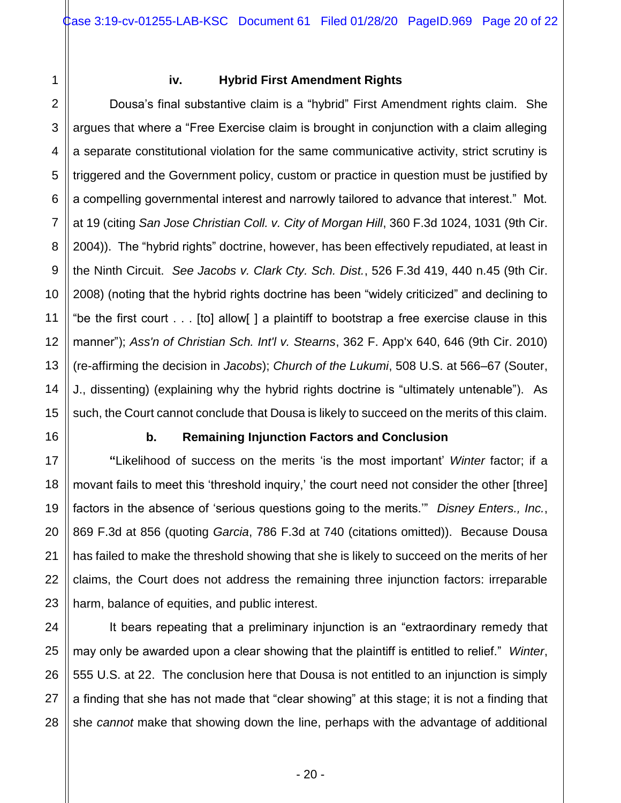1 2 3

4

5

6

7

8

9

10

11

12

13

14

15

16

17

18

19

20

21

22

23

25

27

28

# **iv. Hybrid First Amendment Rights**

Dousa's final substantive claim is a "hybrid" First Amendment rights claim. She argues that where a "Free Exercise claim is brought in conjunction with a claim alleging a separate constitutional violation for the same communicative activity, strict scrutiny is triggered and the Government policy, custom or practice in question must be justified by a compelling governmental interest and narrowly tailored to advance that interest." Mot. at 19 (citing *San Jose Christian Coll. v. City of Morgan Hill*, 360 F.3d 1024, 1031 (9th Cir. 2004)). The "hybrid rights" doctrine, however, has been effectively repudiated, at least in the Ninth Circuit. *See Jacobs v. Clark Cty. Sch. Dist.*, 526 F.3d 419, 440 n.45 (9th Cir. 2008) (noting that the hybrid rights doctrine has been "widely criticized" and declining to "be the first court . . . [to] allow[ ] a plaintiff to bootstrap a free exercise clause in this manner"); *Ass'n of Christian Sch. Int'l v. Stearns*, 362 F. App'x 640, 646 (9th Cir. 2010) (re-affirming the decision in *Jacobs*); *Church of the Lukumi*, 508 U.S. at 566–67 (Souter, J., dissenting) (explaining why the hybrid rights doctrine is "ultimately untenable"). As such, the Court cannot conclude that Dousa is likely to succeed on the merits of this claim.

## **b. Remaining Injunction Factors and Conclusion**

**"**Likelihood of success on the merits 'is the most important' *Winter* factor; if a movant fails to meet this 'threshold inquiry,' the court need not consider the other [three] factors in the absence of 'serious questions going to the merits.'" *Disney Enters., Inc.*, 869 F.3d at 856 (quoting *Garcia*, 786 F.3d at 740 (citations omitted)). Because Dousa has failed to make the threshold showing that she is likely to succeed on the merits of her claims, the Court does not address the remaining three injunction factors: irreparable harm, balance of equities, and public interest.

24 26 It bears repeating that a preliminary injunction is an "extraordinary remedy that may only be awarded upon a clear showing that the plaintiff is entitled to relief." *Winter*, 555 U.S. at 22. The conclusion here that Dousa is not entitled to an injunction is simply a finding that she has not made that "clear showing" at this stage; it is not a finding that she *cannot* make that showing down the line, perhaps with the advantage of additional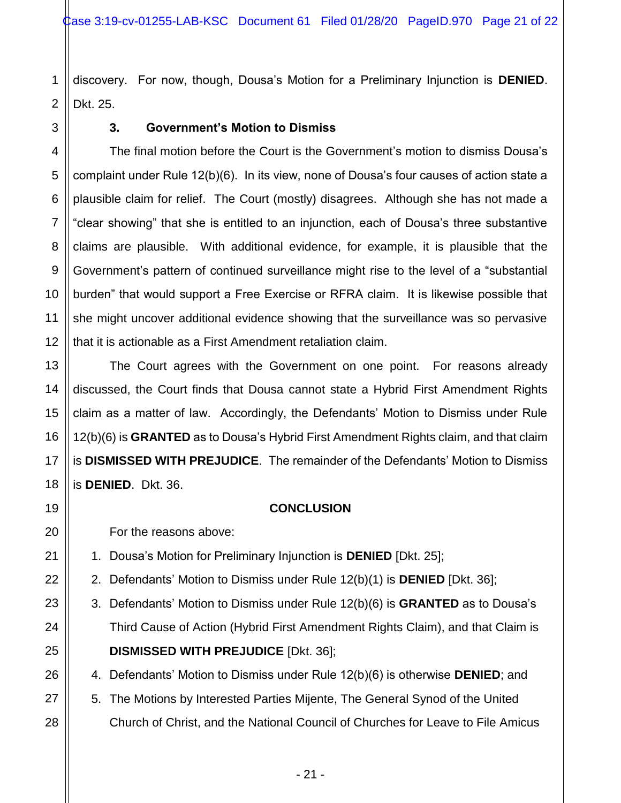1 discovery. For now, though, Dousa's Motion for a Preliminary Injunction is **DENIED**. Dkt. 25.

# **3. Government's Motion to Dismiss**

The final motion before the Court is the Government's motion to dismiss Dousa's complaint under Rule 12(b)(6). In its view, none of Dousa's four causes of action state a plausible claim for relief. The Court (mostly) disagrees. Although she has not made a "clear showing" that she is entitled to an injunction, each of Dousa's three substantive claims are plausible. With additional evidence, for example, it is plausible that the Government's pattern of continued surveillance might rise to the level of a "substantial burden" that would support a Free Exercise or RFRA claim. It is likewise possible that she might uncover additional evidence showing that the surveillance was so pervasive that it is actionable as a First Amendment retaliation claim.

The Court agrees with the Government on one point. For reasons already discussed, the Court finds that Dousa cannot state a Hybrid First Amendment Rights claim as a matter of law. Accordingly, the Defendants' Motion to Dismiss under Rule 12(b)(6) is **GRANTED** as to Dousa's Hybrid First Amendment Rights claim, and that claim is **DISMISSED WITH PREJUDICE**. The remainder of the Defendants' Motion to Dismiss is **DENIED**. Dkt. 36.

## **CONCLUSION**

For the reasons above:

- 1. Dousa's Motion for Preliminary Injunction is **DENIED** [Dkt. 25];
- 2. Defendants' Motion to Dismiss under Rule 12(b)(1) is **DENIED** [Dkt. 36];
- 3. Defendants' Motion to Dismiss under Rule 12(b)(6) is **GRANTED** as to Dousa's Third Cause of Action (Hybrid First Amendment Rights Claim), and that Claim is **DISMISSED WITH PREJUDICE** [Dkt. 36];
- 4. Defendants' Motion to Dismiss under Rule 12(b)(6) is otherwise **DENIED**; and
- 5. The Motions by Interested Parties Mijente, The General Synod of the United
- Church of Christ, and the National Council of Churches for Leave to File Amicus